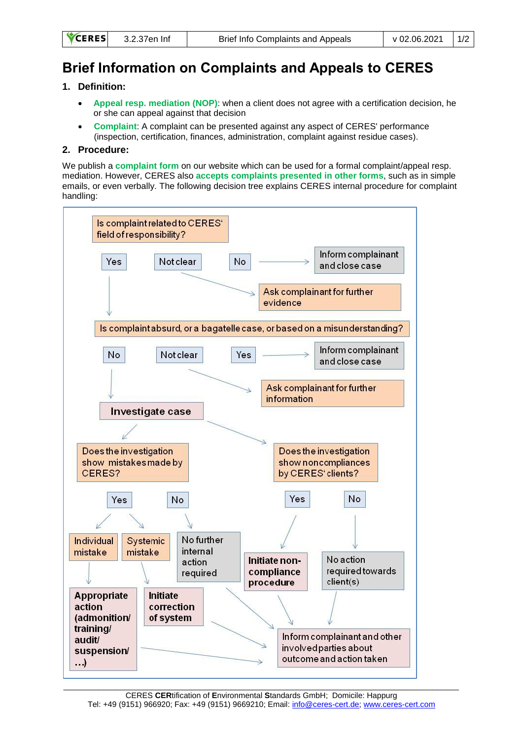| <b>RES</b> | 3.2.37en Inf |  |
|------------|--------------|--|
|            |              |  |

## **Brief Information on Complaints and Appeals to CERES**

## **1. Definition:**

**CE** 

- **Appeal resp. mediation (NOP)**: when a client does not agree with a certification decision, he or she can appeal against that decision
- **Complaint**: A complaint can be presented against any aspect of CERES' performance (inspection, certification, finances, administration, complaint against residue cases).

## **2. Procedure:**

We publish a **complaint form** on our website which can be used for a formal complaint/appeal resp. mediation. However, CERES also **accepts complaints presented in other forms**, such as in simple emails, or even verbally. The following decision tree explains CERES internal procedure for complaint handling: